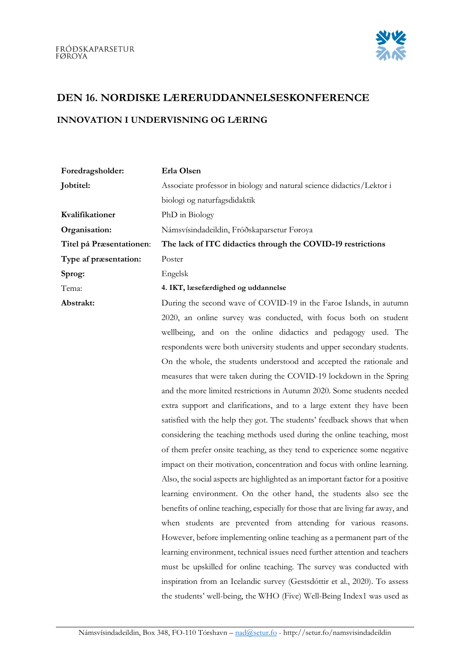

## DEN 16. NORDISKE LÆRERUDDANNELSESKONFERENCE

## INNOVATION I UNDERVISNING OG LÆRING

| Foredragsholder:         | Erla Olsen                                                                      |
|--------------------------|---------------------------------------------------------------------------------|
| Jobtitel:                | Associate professor in biology and natural science didactics/Lektor i           |
|                          | biologi og naturfagsdidaktik                                                    |
| Kvalifikationer          | PhD in Biology                                                                  |
| Organisation:            | Námsvísindadeildin, Fróðskaparsetur Føroya                                      |
| Titel på Præsentationen: | The lack of ITC didactics through the COVID-19 restrictions                     |
| Type af præsentation:    | Poster                                                                          |
| Sprog:                   | Engelsk                                                                         |
| Tema:                    | 4. IKT, læsefærdighed og uddannelse                                             |
| Abstrakt:                | During the second wave of COVID-19 in the Faroe Islands, in autumn              |
|                          | 2020, an online survey was conducted, with focus both on student                |
|                          | wellbeing, and on the online didactics and pedagogy used. The                   |
|                          | respondents were both university students and upper secondary students.         |
|                          | On the whole, the students understood and accepted the rationale and            |
|                          | measures that were taken during the COVID-19 lockdown in the Spring             |
|                          | and the more limited restrictions in Autumn 2020. Some students needed          |
|                          | extra support and clarifications, and to a large extent they have been          |
|                          | satisfied with the help they got. The students' feedback shows that when        |
|                          | considering the teaching methods used during the online teaching, most          |
|                          | of them prefer onsite teaching, as they tend to experience some negative        |
|                          | impact on their motivation, concentration and focus with online learning.       |
|                          | Also, the social aspects are highlighted as an important factor for a positive  |
|                          | learning environment. On the other hand, the students also see the              |
|                          | benefits of online teaching, especially for those that are living far away, and |
|                          | when students are prevented from attending for various reasons.                 |

However, before implementing online teaching as a permanent part of the learning environment, technical issues need further attention and teachers must be upskilled for online teaching. The survey was conducted with inspiration from an Icelandic survey (Gestsdóttir et al., 2020). To assess the students' well-being, the WHO (Five) Well-Being Index1 was used as